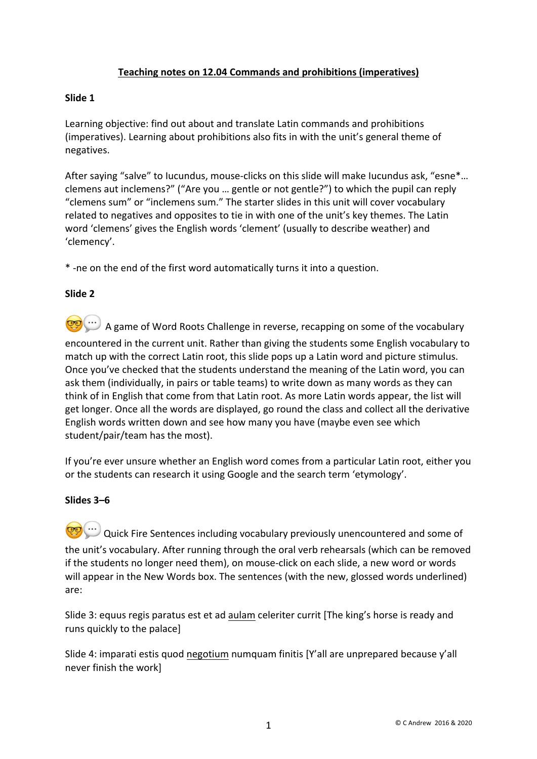# **Teaching notes on 12.04 Commands and prohibitions (imperatives)**

### **Slide 1**

Learning objective: find out about and translate Latin commands and prohibitions (imperatives). Learning about prohibitions also fits in with the unit's general theme of negatives.

After saying "salve" to Iucundus, mouse-clicks on this slide will make Iucundus ask, "esne\*... clemens aut inclemens?" ("Are you … gentle or not gentle?") to which the pupil can reply "clemens sum" or "inclemens sum." The starter slides in this unit will cover vocabulary related to negatives and opposites to tie in with one of the unit's key themes. The Latin word 'clemens' gives the English words 'clement' (usually to describe weather) and 'clemency'.

\* -ne on the end of the first word automatically turns it into a question.

#### **Slide 2**

**CO** ...) A game of Word Roots Challenge in reverse, recapping on some of the vocabulary encountered in the current unit. Rather than giving the students some English vocabulary to match up with the correct Latin root, this slide pops up a Latin word and picture stimulus. Once you've checked that the students understand the meaning of the Latin word, you can ask them (individually, in pairs or table teams) to write down as many words as they can think of in English that come from that Latin root. As more Latin words appear, the list will get longer. Once all the words are displayed, go round the class and collect all the derivative English words written down and see how many you have (maybe even see which student/pair/team has the most).

If you're ever unsure whether an English word comes from a particular Latin root, either you or the students can research it using Google and the search term 'etymology'.

#### **Slides 3–6**

 $\overline{\cdots}$  Quick Fire Sentences including vocabulary previously unencountered and some of the unit's vocabulary. After running through the oral verb rehearsals (which can be removed if the students no longer need them), on mouse-click on each slide, a new word or words will appear in the New Words box. The sentences (with the new, glossed words underlined) are:

Slide 3: equus regis paratus est et ad aulam celeriter currit [The king's horse is ready and runs quickly to the palace]

Slide 4: imparati estis quod negotium numquam finitis [Y'all are unprepared because y'all never finish the work]